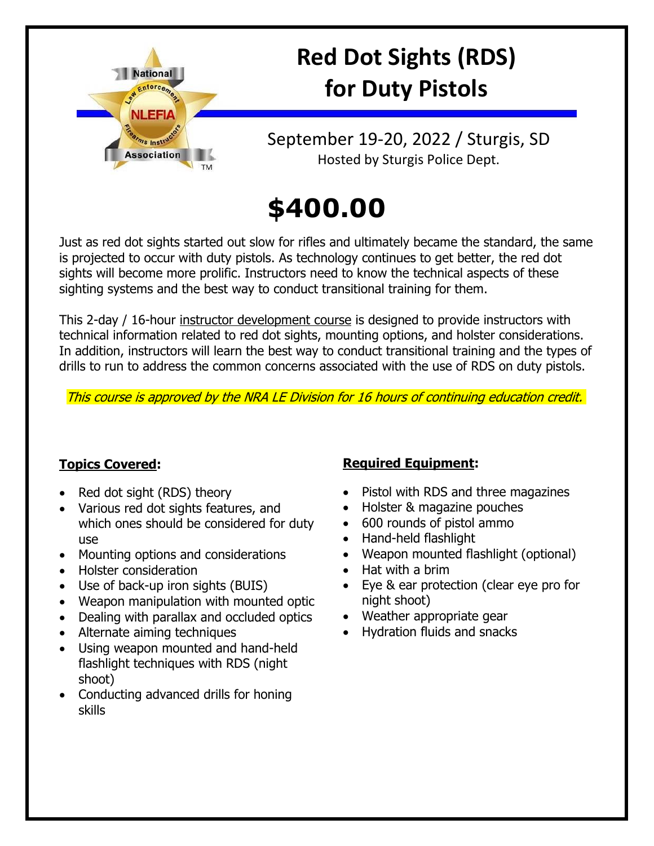

# **Red Dot Sights (RDS) for Duty Pistols**

## September 19-20, 2022 / Sturgis, SD Hosted by Sturgis Police Dept.

# **\$400.00**

Just as red dot sights started out slow for rifles and ultimately became the standard, the same is projected to occur with duty pistols. As technology continues to get better, the red dot sights will become more prolific. Instructors need to know the technical aspects of these sighting systems and the best way to conduct transitional training for them.

This 2-day / 16-hour instructor development course is designed to provide instructors with technical information related to red dot sights, mounting options, and holster considerations. In addition, instructors will learn the best way to conduct transitional training and the types of drills to run to address the common concerns associated with the use of RDS on duty pistols.

This course is approved by the NRA LE Division for 16 hours of continuing education credit.

### **Topics Covered:**

- Red dot sight (RDS) theory
- Various red dot sights features, and which ones should be considered for duty use
- Mounting options and considerations
- Holster consideration
- Use of back-up iron sights (BUIS)
- Weapon manipulation with mounted optic
- Dealing with parallax and occluded optics
- Alternate aiming techniques
- Using weapon mounted and hand-held flashlight techniques with RDS (night shoot)
- Conducting advanced drills for honing skills

### **Required Equipment:**

- Pistol with RDS and three magazines
- Holster & magazine pouches
- 600 rounds of pistol ammo
- Hand-held flashlight
- Weapon mounted flashlight (optional)
- Hat with a brim
- Eye & ear protection (clear eye pro for night shoot)
- Weather appropriate gear
- Hydration fluids and snacks